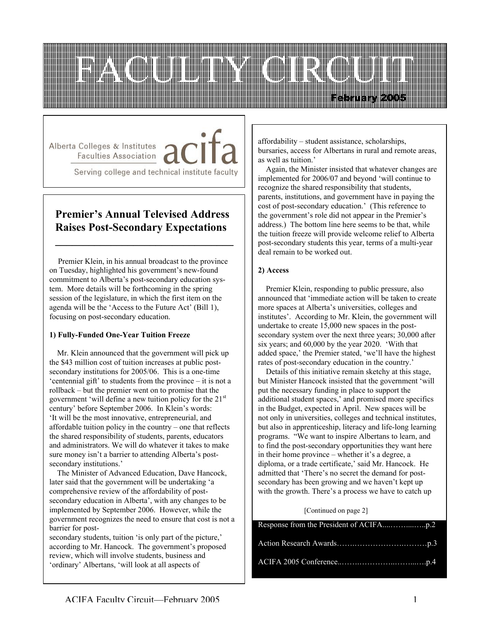

Alberta Colleges & Institutes / **Faculties Association** 

Serving college and technical institute faculty

## **Premier's Annual Televised Address Raises Post-Secondary Expectations**

**\_\_\_\_\_\_\_\_\_\_\_\_\_\_\_\_\_\_\_\_\_\_\_\_\_\_\_\_\_\_\_\_**

 Premier Klein, in his annual broadcast to the province on Tuesday, highlighted his government's new-found commitment to Alberta's post-secondary education system. More details will be forthcoming in the spring session of the legislature, in which the first item on the agenda will be the 'Access to the Future Act' (Bill 1), focusing on post-secondary education.

### **1) Fully-Funded One-Year Tuition Freeze**

 Mr. Klein announced that the government will pick up the \$43 million cost of tuition increases at public postsecondary institutions for 2005/06. This is a one-time 'centennial gift' to students from the province – it is not a rollback – but the premier went on to promise that the government 'will define a new tuition policy for the 21st century' before September 2006. In Klein's words: 'It will be the most innovative, entrepreneurial, and affordable tuition policy in the country – one that reflects the shared responsibility of students, parents, educators and administrators. We will do whatever it takes to make sure money isn't a barrier to attending Alberta's postsecondary institutions.'

 The Minister of Advanced Education, Dave Hancock, later said that the government will be undertaking 'a comprehensive review of the affordability of postsecondary education in Alberta', with any changes to be implemented by September 2006. However, while the government recognizes the need to ensure that cost is not a barrier for post-

secondary students, tuition 'is only part of the picture,' according to Mr. Hancock. The government's proposed review, which will involve students, business and 'ordinary' Albertans, 'will look at all aspects of

affordability – student assistance, scholarships, bursaries, access for Albertans in rural and remote areas, as well as tuition.'

 Again, the Minister insisted that whatever changes are implemented for 2006/07 and beyond 'will continue to recognize the shared responsibility that students, parents, institutions, and government have in paying the cost of post-secondary education.' (This reference to the government's role did not appear in the Premier's address.) The bottom line here seems to be that, while the tuition freeze will provide welcome relief to Alberta post-secondary students this year, terms of a multi-year deal remain to be worked out.

### **2) Access**

 Premier Klein, responding to public pressure, also announced that 'immediate action will be taken to create more spaces at Alberta's universities, colleges and institutes'. According to Mr. Klein, the government will undertake to create 15,000 new spaces in the postsecondary system over the next three years; 30,000 after six years; and 60,000 by the year 2020. 'With that added space,' the Premier stated, 'we'll have the highest rates of post-secondary education in the country.'

 Details of this initiative remain sketchy at this stage, but Minister Hancock insisted that the government 'will put the necessary funding in place to support the additional student spaces,' and promised more specifics in the Budget, expected in April. New spaces will be not only in universities, colleges and technical institutes, but also in apprenticeship, literacy and life-long learning programs. "We want to inspire Albertans to learn, and to find the post-secondary opportunities they want here in their home province – whether it's a degree, a diploma, or a trade certificate,' said Mr. Hancock. He admitted that 'There's no secret the demand for postsecondary has been growing and we haven't kept up with the growth. There's a process we have to catch up

# [Continued on page 2]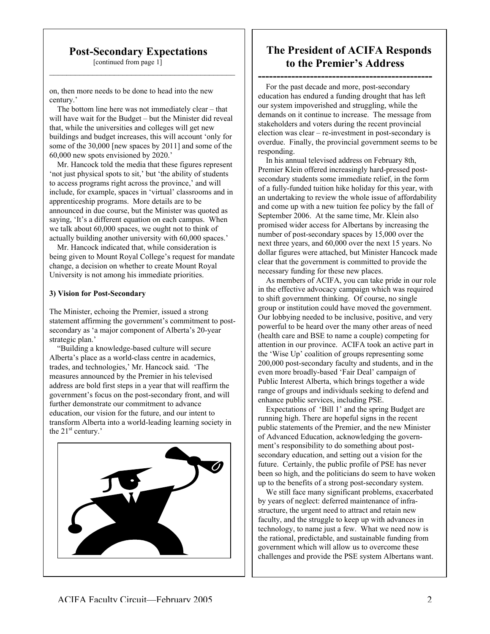### **Post-Secondary Expectations**

 $\mathcal{L}_\text{max}$  , and the set of the set of the set of the set of the set of the set of the set of the set of the set of the set of the set of the set of the set of the set of the set of the set of the set of the set of the

[continued from page 1]

on, then more needs to be done to head into the new century.'

 The bottom line here was not immediately clear – that will have wait for the Budget – but the Minister did reveal that, while the universities and colleges will get new buildings and budget increases, this will account 'only for some of the 30,000 [new spaces by 2011] and some of the 60,000 new spots envisioned by 2020.'

 Mr. Hancock told the media that these figures represent 'not just physical spots to sit,' but 'the ability of students to access programs right across the province,' and will include, for example, spaces in 'virtual' classrooms and in apprenticeship programs. More details are to be announced in due course, but the Minister was quoted as saying, 'It's a different equation on each campus. When we talk about 60,000 spaces, we ought not to think of actually building another university with 60,000 spaces.'

 Mr. Hancock indicated that, while consideration is being given to Mount Royal College's request for mandate change, a decision on whether to create Mount Royal University is not among his immediate priorities.

### **3) Vision for Post-Secondary**

The Minister, echoing the Premier, issued a strong statement affirming the government's commitment to postsecondary as 'a major component of Alberta's 20-year strategic plan.'

 "Building a knowledge-based culture will secure Alberta's place as a world-class centre in academics, trades, and technologies,' Mr. Hancock said. 'The measures announced by the Premier in his televised address are bold first steps in a year that will reaffirm the government's focus on the post-secondary front, and will further demonstrate our commitment to advance education, our vision for the future, and our intent to transform Alberta into a world-leading learning society in the  $21<sup>st</sup>$  century.'



## **The President of ACIFA Responds to the Premier's Address**

**-----------------------------------------------** For the past decade and more, post-secondary education has endured a funding drought that has left our system impoverished and struggling, while the demands on it continue to increase. The message from stakeholders and voters during the recent provincial election was clear – re-investment in post-secondary is overdue. Finally, the provincial government seems to be responding.

 In his annual televised address on February 8th, Premier Klein offered increasingly hard-pressed postsecondary students some immediate relief, in the form of a fully-funded tuition hike holiday for this year, with an undertaking to review the whole issue of affordability and come up with a new tuition fee policy by the fall of September 2006. At the same time, Mr. Klein also promised wider access for Albertans by increasing the number of post-secondary spaces by 15,000 over the next three years, and 60,000 over the next 15 years. No dollar figures were attached, but Minister Hancock made clear that the government is committed to provide the necessary funding for these new places.

 As members of ACIFA, you can take pride in our role in the effective advocacy campaign which was required to shift government thinking. Of course, no single group or institution could have moved the government. Our lobbying needed to be inclusive, positive, and very powerful to be heard over the many other areas of need (health care and BSE to name a couple) competing for attention in our province. ACIFA took an active part in the 'Wise Up' coalition of groups representing some 200,000 post-secondary faculty and students, and in the even more broadly-based 'Fair Deal' campaign of Public Interest Alberta, which brings together a wide range of groups and individuals seeking to defend and enhance public services, including PSE.

 Expectations of 'Bill 1' and the spring Budget are running high. There are hopeful signs in the recent public statements of the Premier, and the new Minister of Advanced Education, acknowledging the government's responsibility to do something about postsecondary education, and setting out a vision for the future. Certainly, the public profile of PSE has never been so high, and the politicians do seem to have woken up to the benefits of a strong post-secondary system.

 We still face many significant problems, exacerbated by years of neglect: deferred maintenance of infrastructure, the urgent need to attract and retain new faculty, and the struggle to keep up with advances in technology, to name just a few. What we need now is the rational, predictable, and sustainable funding from government which will allow us to overcome these challenges and provide the PSE system Albertans want.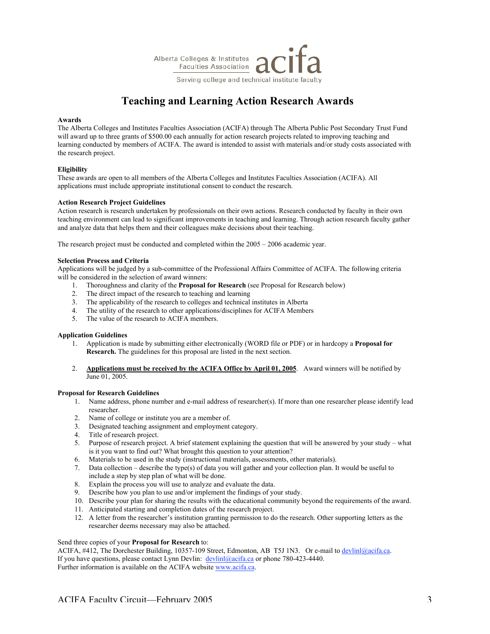

# **Teaching and Learning Action Research Awards**

#### **Awards**

The Alberta Colleges and Institutes Faculties Association (ACIFA) through The Alberta Public Post Secondary Trust Fund will award up to three grants of \$500.00 each annually for action research projects related to improving teaching and learning conducted by members of ACIFA. The award is intended to assist with materials and/or study costs associated with the research project.

#### **Eligibility**

These awards are open to all members of the Alberta Colleges and Institutes Faculties Association (ACIFA). All applications must include appropriate institutional consent to conduct the research.

#### **Action Research Project Guidelines**

Action research is research undertaken by professionals on their own actions. Research conducted by faculty in their own teaching environment can lead to significant improvements in teaching and learning. Through action research faculty gather and analyze data that helps them and their colleagues make decisions about their teaching.

The research project must be conducted and completed within the 2005 – 2006 academic year.

#### **Selection Process and Criteria**

Applications will be judged by a sub-committee of the Professional Affairs Committee of ACIFA. The following criteria will be considered in the selection of award winners:

- 1. Thoroughness and clarity of the **Proposal for Research** (see Proposal for Research below)
- 2. The direct impact of the research to teaching and learning
- 3. The applicability of the research to colleges and technical institutes in Alberta
- 4. The utility of the research to other applications/disciplines for ACIFA Members
- 5. The value of the research to ACIFA members.

#### **Application Guidelines**

- 1. Application is made by submitting either electronically (WORD file or PDF) or in hardcopy a **Proposal for Research.** The guidelines for this proposal are listed in the next section.
- 2. **Applications must be received by the ACIFA Office by April 01, 2005**. Award winners will be notified by June 01, 2005.

#### **Proposal for Research Guidelines**

- 1. Name address, phone number and e-mail address of researcher(s). If more than one researcher please identify lead researcher.
- 2. Name of college or institute you are a member of.
- 3. Designated teaching assignment and employment category.<br>4. Title of research project.
- 4. Title of research project.<br>5. Purpose of research proje
- 5. Purpose of research project. A brief statement explaining the question that will be answered by your study what is it you want to find out? What brought this question to your attention?
- 6. Materials to be used in the study (instructional materials, assessments, other materials).
- 7. Data collection describe the type(s) of data you will gather and your collection plan. It would be useful to include a step by step plan of what will be done.
- 8. Explain the process you will use to analyze and evaluate the data.
- 9. Describe how you plan to use and/or implement the findings of your study.
- 10. Describe your plan for sharing the results with the educational community beyond the requirements of the award.
- 11. Anticipated starting and completion dates of the research project.
- 12. A letter from the researcher's institution granting permission to do the research. Other supporting letters as the researcher deems necessary may also be attached.

#### Send three copies of your **Proposal for Research** to:

ACIFA, #412, The Dorchester Building, 10357-109 Street, Edmonton, AB T5J 1N3. Or e-mail to devlinl@acifa.ca. If you have questions, please contact Lynn Devlin:  $\frac{devlin(Qacifa.ca)}{devlin(Qacifa.ca)}$  or phone 780-423-4440. Further information is available on the ACIFA website www.acifa.ca.